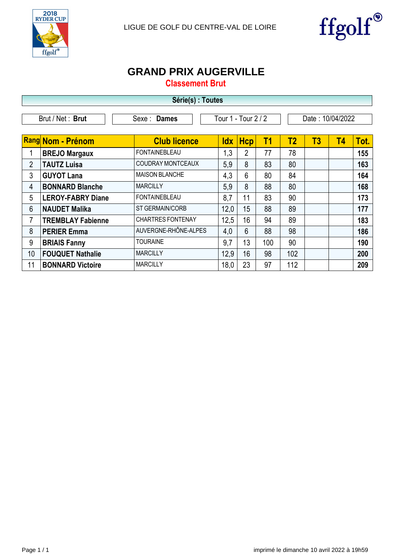



## **GRAND PRIX AUGERVILLE**

**Classement Brut**

| Série(s) : Toutes |                          |                          |                     |                |                |                  |    |           |      |  |
|-------------------|--------------------------|--------------------------|---------------------|----------------|----------------|------------------|----|-----------|------|--|
|                   | Brut / Net: Brut         | Sexe : Dames             | Tour 1 - Tour 2 / 2 |                |                | Date: 10/04/2022 |    |           |      |  |
|                   | <b>Rang Nom - Prénom</b> | <b>Club licence</b>      | <b>Idx</b>          | <b>Hcp</b>     | T <sub>1</sub> | T <sub>2</sub>   | T3 | <b>T4</b> | Tot. |  |
| 1                 | <b>BREJO Margaux</b>     | <b>FONTAINEBLEAU</b>     | 1,3                 | 2              | 77             | 78               |    |           | 155  |  |
| $\overline{2}$    | <b>TAUTZ Luisa</b>       | <b>COUDRAY MONTCEAUX</b> | 5,9                 | 8              | 83             | 80               |    |           | 163  |  |
| 3                 | <b>GUYOT Lana</b>        | <b>MAISON BLANCHE</b>    | 4,3                 | 6              | 80             | 84               |    |           | 164  |  |
| $\overline{4}$    | <b>BONNARD Blanche</b>   | <b>MARCILLY</b>          | 5,9                 | 8              | 88             | 80               |    |           | 168  |  |
| 5                 | <b>LEROY-FABRY Diane</b> | <b>FONTAINEBLEAU</b>     | 8,7                 | 11             | 83             | 90               |    |           | 173  |  |
| $6\phantom{1}$    | <b>NAUDET Malika</b>     | <b>ST GERMAIN/CORB</b>   | 12,0                | 15             | 88             | 89               |    |           | 177  |  |
| 7                 | <b>TREMBLAY Fabienne</b> | <b>CHARTRES FONTENAY</b> | 12,5                | 16             | 94             | 89               |    |           | 183  |  |
| 8                 | <b>PERIER Emma</b>       | AUVERGNE-RHÔNE-ALPES     | 4,0                 | $6\phantom{1}$ | 88             | 98               |    |           | 186  |  |
| 9                 | <b>BRIAIS Fanny</b>      | <b>TOURAINE</b>          | 9,7                 | 13             | 100            | 90               |    |           | 190  |  |
| 10                | <b>FOUQUET Nathalie</b>  | <b>MARCILLY</b>          | 12,9                | 16             | 98             | 102              |    |           | 200  |  |
| 11                | <b>BONNARD Victoire</b>  | <b>MARCILLY</b>          | 18,0                | 23             | 97             | 112              |    |           | 209  |  |

-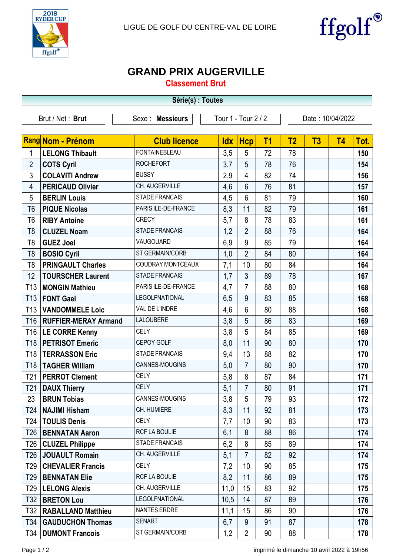



## **GRAND PRIX AUGERVILLE**

**Classement Brut**

| Série(s) : Toutes |                             |                       |                     |                |                |                  |    |           |      |  |
|-------------------|-----------------------------|-----------------------|---------------------|----------------|----------------|------------------|----|-----------|------|--|
|                   | Brut / Net: Brut            | Sexe : Messieurs      | Tour 1 - Tour 2 / 2 |                |                | Date: 10/04/2022 |    |           |      |  |
|                   |                             |                       |                     |                |                |                  |    |           |      |  |
|                   | Rang Nom - Prénom           | <b>Club licence</b>   | <b>Idx</b>          | <b>Hcp</b>     | T <sub>1</sub> | T <sub>2</sub>   | T3 | <b>T4</b> | Tot. |  |
| $\mathbf{1}$      | <b>LELONG Thibault</b>      | <b>FONTAINEBLEAU</b>  | 3,5                 | 5              | 72             | 78               |    |           | 150  |  |
| $\overline{2}$    | <b>COTS Cyril</b>           | <b>ROCHEFORT</b>      | 3,7                 | 5              | 78             | 76               |    |           | 154  |  |
| 3                 | <b>COLAVITI Andrew</b>      | <b>BUSSY</b>          | 2,9                 | 4              | 82             | 74               |    |           | 156  |  |
| 4                 | <b>PERICAUD Olivier</b>     | CH. AUGERVILLE        | 4,6                 | $6\phantom{1}$ | 76             | 81               |    |           | 157  |  |
| 5                 | <b>BERLIN Louis</b>         | <b>STADE FRANCAIS</b> | 4,5                 | $6\phantom{1}$ | 81             | 79               |    |           | 160  |  |
| T <sub>6</sub>    | <b>PIQUE Nicolas</b>        | PARIS ILE-DE-FRANCE   | 8,3                 | 11             | 82             | 79               |    |           | 161  |  |
| T <sub>6</sub>    | <b>RIBY Antoine</b>         | <b>CRECY</b>          | 5,7                 | 8              | 78             | 83               |    |           | 161  |  |
| T <sub>8</sub>    | <b>CLUZEL Noam</b>          | <b>STADE FRANCAIS</b> | 1,2                 | $\overline{2}$ | 88             | 76               |    |           | 164  |  |
| T <sub>8</sub>    | <b>GUEZ Joel</b>            | VAUGOUARD             | 6,9                 | 9              | 85             | 79               |    |           | 164  |  |
| T <sub>8</sub>    | <b>BOSIO Cyril</b>          | ST GERMAIN/CORB       | 1,0                 | $\overline{2}$ | 84             | 80               |    |           | 164  |  |
| T <sub>8</sub>    | <b>PRINGAULT Charles</b>    | COUDRAY MONTCEAUX     | 7,1                 | 10             | 80             | 84               |    |           | 164  |  |
| 12                | <b>TOURSCHER Laurent</b>    | <b>STADE FRANCAIS</b> | 1,7                 | $\mathfrak{Z}$ | 89             | 78               |    |           | 167  |  |
| T <sub>13</sub>   | <b>MONGIN Mathieu</b>       | PARIS ILE-DE-FRANCE   | 4,7                 | $\overline{7}$ | 88             | 80               |    |           | 168  |  |
| T <sub>13</sub>   | <b>FONT Gael</b>            | LEGOLFNATIONAL        | 6,5                 | 9              | 83             | 85               |    |           | 168  |  |
| T <sub>13</sub>   | <b>VANDOMMELE Loic</b>      | VAL DE L'INDRE        | 4,6                 | 6              | 80             | 88               |    |           | 168  |  |
| T <sub>16</sub>   | <b>RUFFIER-MERAY Armand</b> | <b>LALOUBERE</b>      | 3,8                 | 5              | 86             | 83               |    |           | 169  |  |
| T16               | <b>LE CORRE Kenny</b>       | <b>CELY</b>           | 3,8                 | 5              | 84             | 85               |    |           | 169  |  |
| T18               | <b>PETRISOT Emeric</b>      | CEPOY GOLF            | 8,0                 | 11             | 90             | 80               |    |           | 170  |  |
| T18               | <b>TERRASSON Eric</b>       | <b>STADE FRANCAIS</b> | 9,4                 | 13             | 88             | 82               |    |           | 170  |  |
| T <sub>18</sub>   | <b>TAGHER William</b>       | CANNES-MOUGINS        | 5,0                 | $\overline{7}$ | 80             | 90               |    |           | 170  |  |
| T <sub>21</sub>   | <b>PERROT Clement</b>       | <b>CELY</b>           | 5,8                 | 8              | 87             | 84               |    |           | 171  |  |
| T <sub>21</sub>   | <b>DAUX Thierry</b>         | <b>CELY</b>           | 5.1                 | $\overline{7}$ | 80             | 91               |    |           | 171  |  |
| 23                | <b>BRUN Tobias</b>          | CANNES-MOUGINS        | 3,8                 | 5              | 79             | 93               |    |           | 172  |  |
| T24               | <b>NAJIMI Hisham</b>        | CH. HUMIERE           | 8,3                 | 11             | 92             | 81               |    |           | 173  |  |
| T24               | <b>TOULIS Denis</b>         | CELY                  | 7,7                 | 10             | 90             | 83               |    |           | 173  |  |
| T26               | <b>BENNATAN Aaron</b>       | RCF LA BOULIE         | 6,1                 | 8              | 88             | 86               |    |           | 174  |  |
| T26               | <b>CLUZEL Philippe</b>      | <b>STADE FRANCAIS</b> | 6,2                 | 8              | 85             | 89               |    |           | 174  |  |
| T <sub>26</sub>   | <b>JOUAULT Romain</b>       | CH. AUGERVILLE        | 5,1                 | $\overline{7}$ | 82             | 92               |    |           | 174  |  |
| T29               | <b>CHEVALIER Francis</b>    | <b>CELY</b>           | 7,2                 | 10             | 90             | 85               |    |           | 175  |  |
| T <sub>29</sub>   | <b>BENNATAN Elie</b>        | RCF LA BOULIE         | 8,2                 | 11             | 86             | 89               |    |           | 175  |  |
| T29               | <b>LELONG Alexis</b>        | CH. AUGERVILLE        | 11,0                | 15             | 83             | 92               |    |           | 175  |  |
| T32               | <b>BRETON Lou</b>           | LEGOLFNATIONAL        | 10,5                | 14             | 87             | 89               |    |           | 176  |  |
| T32               | <b>RABALLAND Matthieu</b>   | NANTES ERDRE          | 11,1                | 15             | 86             | 90               |    |           | 176  |  |
| T34               | <b>GAUDUCHON Thomas</b>     | <b>SENART</b>         | 6,7                 | $9\,$          | 91             | 87               |    |           | 178  |  |
| T34               | <b>DUMONT Francois</b>      | ST GERMAIN/CORB       | 1,2                 | $\overline{2}$ | 90             | 88               |    |           | 178  |  |